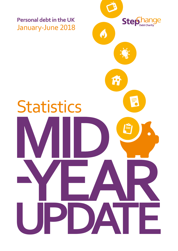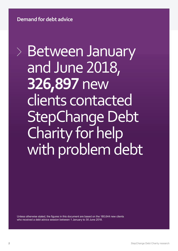**Demand for debt advice**

Between January and June 2018, **326,897** new clients contacted StepChange Debt Charity for help with problem debt

Unless otherwise stated, the figures in this document are based on the 180,644 new clients who received a debt advice session between 1 January to 30 June 2018.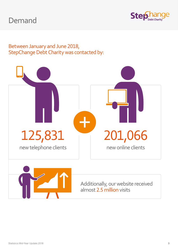## Demand



### Between January and June 2018, StepChange Debt Charity was contacted by:





Additionally, our website received almost 2.5 million visits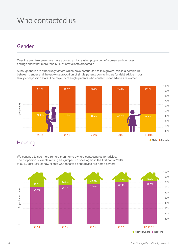### Who contacted us

### Gender

Over the past few years, we have advised an increasing proportion of women and our latest findings show that more than 60% of new clients are female.

Although there are other likely factors which have contributed to this growth, this is a notable link between gender and the growing proportion of single parents contacting us for debt advice in our family composition stats. The majority of single parents who contact us for advice are women.



### **Housing**

We continue to see more renters than home owners contacting us for advice. The proportion of clients renting has jumped up once again in the first half of 2018 to 82%. Just 18% of new clients who received debt advice are home owners.



 $\bullet$  **Homeowners**  $\bullet$  **Renters**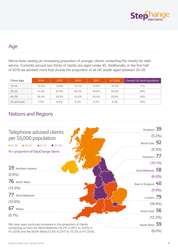

### Age

We've been seeing an increasing proportion of younger clients contacting the charity for debt advice. Currently around two thirds of clients are aged under 40. Additionally, in the first half of 2018 we advised more that double the proportion of all UK adults aged between 25-39.

| <b>Client Age</b> | 2014    | 2015  | 2016  | 2017  | H1 2018 | Overall UK adult population |
|-------------------|---------|-------|-------|-------|---------|-----------------------------|
| $18 - 24$         | 13.0%   | 13.6% | 13.7% | 13.9% | 14.3%   | 11%                         |
| $25 - 39$         | 41.6%   | 43.6% | 46.4% | 49.6% | 50.8%   | 25%                         |
| $40 - 59$         | 38.4%   | 36.0% | 33.6% | 30.9% | 29.6%   | 34%                         |
| 60 and over       | $7.0\%$ | 6.8%  | 6.3%  | 5.5%  | 5.3%    | 30%                         |

### Nations and Regions

|                                                                                                                                     | Scotland 39        |
|-------------------------------------------------------------------------------------------------------------------------------------|--------------------|
| Telephone advised clients                                                                                                           | $(5.2\%)$          |
| per 10,000 population                                                                                                               | North East 92      |
| $01-25$<br>$26 - 50$<br>$• 51-75$<br>$-76-100$                                                                                      |                    |
| % = proportion of StepChange clients                                                                                                | $(5.9\%)$          |
|                                                                                                                                     | Yorkshire 77       |
|                                                                                                                                     | $(10.1\%)$         |
| 19<br>Northern Ireland                                                                                                              | East Midlands 58   |
| $(0.8\%)$                                                                                                                           | $(6.6\%)$          |
| 76 North West                                                                                                                       | East of England 40 |
| $(13.2\%)$                                                                                                                          | $(5.9\%)$          |
| 77 West Midlands                                                                                                                    | London 79          |
| $(10.6\%)$                                                                                                                          | $(16.4\%)$         |
| 67 Wales                                                                                                                            | South East 56      |
| $(5.1\%)$                                                                                                                           | $(12.2\%)$         |
| We have seen particular increases in the proportion of clients                                                                      | South West 59      |
| contacting us from the West Midlands (10.2% in 2017 to 10.6% in<br>H1 2018) and the North West (12.8% in 2017 to 13.2% in H1 2018). | $(8.0\%)$          |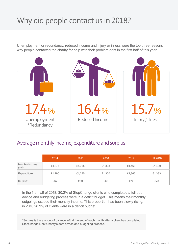## Why did people contact us in 2018?

Unemployment or redundancy, reduced income and injury or illness were the top three reasons why people contacted the charity for help with their problem debt in the first half of this year:



### Average monthly income, expenditure and surplus

|                         | 2014   | 2015   | 2016   | 2017   | H1 2018 |
|-------------------------|--------|--------|--------|--------|---------|
| Monthly income<br>(net) | £1,375 | £1,368 | £1,393 | £1,468 | £1,490  |
| Expenditure             | £1,290 | £1,285 | £1,300 | £1,366 | £1,383  |
| Surplus*                | £67    | £60    | £63    | £70    | £78     |

In the first half of 2018, 30.2% of StepChange clients who completed a full debt advice and budgeting process were in a deficit budget. This means their monthly outgoings exceed their monthly income. This proportion has been slowly rising; in 2016 28.9% of clients were in a deficit budget.

\*Surplus is the amount of balance left at the end of each month after a client has completed. StepChange Debt Charity's debt advice and budgeting process.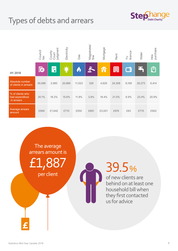# Types of debts and arrears



|                                                   | Council<br>tax | Court<br>judgment<br>County | Electricity | Gas    | Magistrates'<br>fine | Mortgage | Rent   | TV<br>licence                                                     | Water  | Hire<br>purchase |
|---------------------------------------------------|----------------|-----------------------------|-------------|--------|----------------------|----------|--------|-------------------------------------------------------------------|--------|------------------|
| H1 2018                                           | <b>TG</b>      | $\equiv$                    |             | O      |                      | 佾        | 囲      | $\begin{array}{ c c } \hline \textbf{0} & \textbf{0} \end{array}$ |        | ÊI               |
| Absolute number<br>of clients in arrears          | 36,086         | 2,980                       | 20,986      | 11,523 | 326                  | 4,629    | 24,308 | 8,199                                                             | 26,273 | 6,414            |
| % of clients who<br>had expenditure<br>in arrears | 30.1%          | 18.2%                       | 15.6%       | 11.8%  | 3.8%                 | 18.4%    | 21.0%  | 6.9%                                                              | 23.4%  | 20.9%            |
| Average arrears<br>amount                         | £999           | £1,642                      | £710        | £550   | £681                 | £3,001   | £974   | £83                                                               | £715   | £902             |

The average arrears amount is £1,887 per client

39.5 %

of new clients are behind on at least one household bill when they first contacted us for advice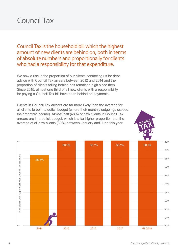## Council Tax

Council Tax is the household bill which the highest amount of new clients are behind on, both in terms of absolute numbers and proportionally for clients who had a responsibility for that expenditure.

We saw a rise in the proportion of our clients contacting us for debt advice with Council Tax arrears between 2012 and 2014 and the proportion of clients falling behind has remained high since then. Since 2015, almost one third of all new clients with a responsibility for paying a Council Tax bill have been behind on payments.

Clients in Council Tax arrears are far more likely than the average for all clients to be in a deficit budget (where their monthly outgoings exceed their monthly income). Almost half (48%) of new clients in Council Tax arrears are in a deficit budget, which is a far higher proportion that the average of all new clients (30%) between January and June this year.

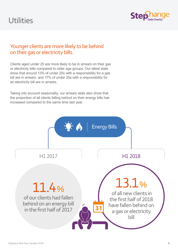## **Utilities**



### Younger clients are more likely to be behind on their gas or electricity bills.

Clients aged under 25 are more likely to be in arrears on their gas or electricity bills compared to older age groups. Our latest stats show that around 13% of under 25s with a responsibility for a gas bill are in arrears, and 17% of under 25s with a responsibility for an electricity bill are in arrears.

Taking into account seasonality, our arrears stats also show that the proportion of all clients falling behind on their energy bills has increased compared to the same time last year.

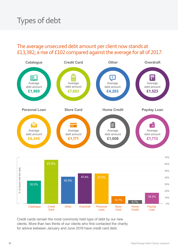## Types of debt

#### The average unsecured debt amount per client now stands at £13,382; a rise of £102 compared against the average for all of 2017.



Credit cards remain the most commonly held type of debt by our new clients. More than two thirds of our clients who first contacted the charity for advice between January and June 2018 have credit card debt.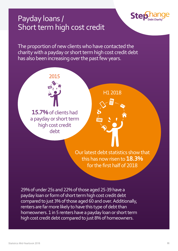### Payday loans / Short term high cost credit

The proportion of new clients who have contacted the charity with a payday or short term high cost credit debt has also been increasing over the past few years.

**Ste** 



29% of under 25s and 22% of those aged 25-39 have a payday loan or form of short term high cost credit debt compared to just 3% of those aged 60 and over. Additionally, renters are far more likely to have this type of debt than homeowners. 1 in 5 renters have a payday loan or short term high cost credit debt compared to just 8% of homeowners.